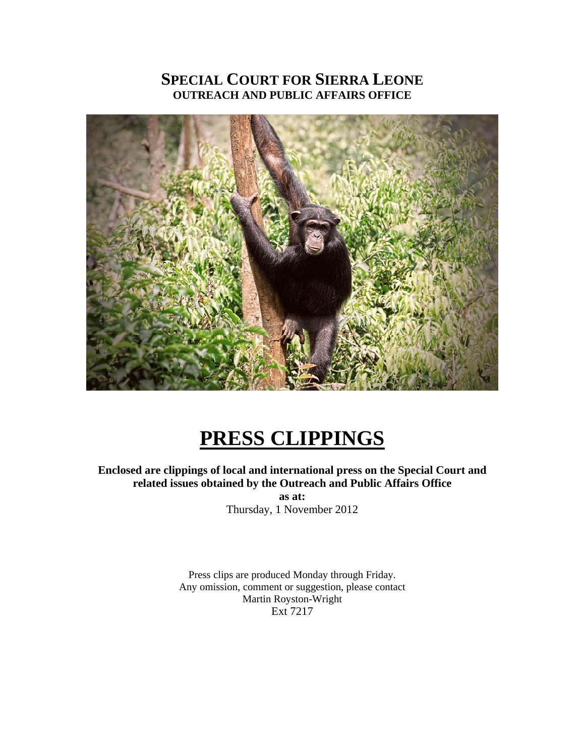## **SPECIAL COURT FOR SIERRA LEONE OUTREACH AND PUBLIC AFFAIRS OFFICE**



# **PRESS CLIPPINGS**

#### **Enclosed are clippings of local and international press on the Special Court and related issues obtained by the Outreach and Public Affairs Office**

**as at:**  Thursday, 1 November 2012

Press clips are produced Monday through Friday. Any omission, comment or suggestion, please contact Martin Royston-Wright Ext 7217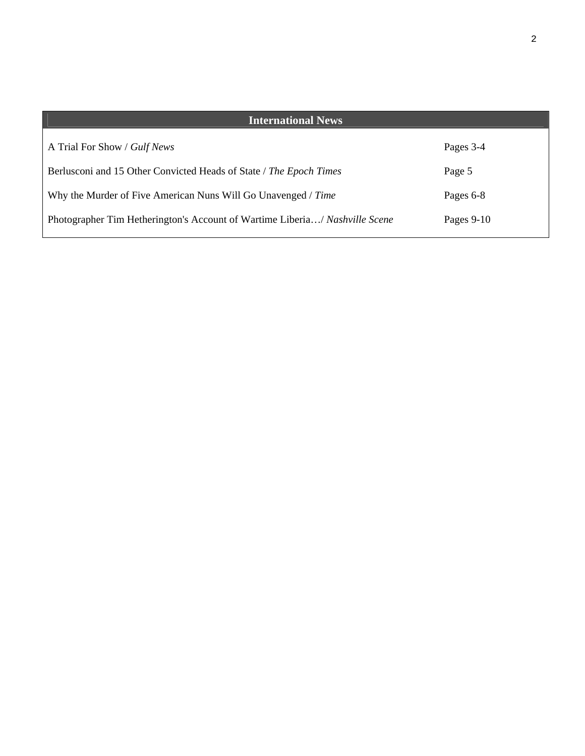| <b>International News</b>                                                   |            |
|-----------------------------------------------------------------------------|------------|
| A Trial For Show / Gulf News                                                | Pages 3-4  |
| Berlusconi and 15 Other Convicted Heads of State / The Epoch Times          | Page 5     |
| Why the Murder of Five American Nuns Will Go Unavenged / Time               | Pages 6-8  |
| Photographer Tim Hetherington's Account of Wartime Liberia/ Nashville Scene | Pages 9-10 |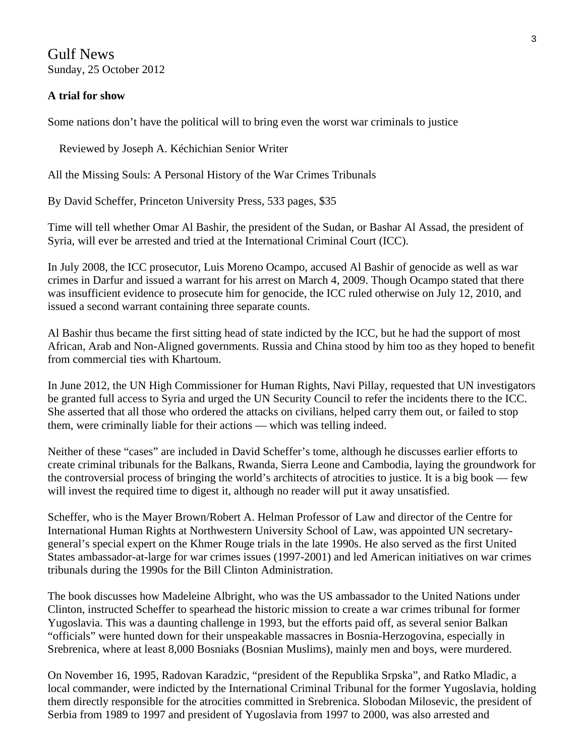Gulf News Sunday, 25 October 2012

#### **A trial for show**

Some nations don't have the political will to bring even the worst war criminals to justice

Reviewed by Joseph A. Kéchichian Senior Writer

All the Missing Souls: A Personal History of the War Crimes Tribunals

By David Scheffer, Princeton University Press, 533 pages, \$35

Time will tell whether Omar Al Bashir, the president of the Sudan, or Bashar Al Assad, the president of Syria, will ever be arrested and tried at the International Criminal Court (ICC).

In July 2008, the ICC prosecutor, Luis Moreno Ocampo, accused Al Bashir of genocide as well as war crimes in Darfur and issued a warrant for his arrest on March 4, 2009. Though Ocampo stated that there was insufficient evidence to prosecute him for genocide, the ICC ruled otherwise on July 12, 2010, and issued a second warrant containing three separate counts.

Al Bashir thus became the first sitting head of state indicted by the ICC, but he had the support of most African, Arab and Non-Aligned governments. Russia and China stood by him too as they hoped to benefit from commercial ties with Khartoum.

In June 2012, the UN High Commissioner for Human Rights, Navi Pillay, requested that UN investigators be granted full access to Syria and urged the UN Security Council to refer the incidents there to the ICC. She asserted that all those who ordered the attacks on civilians, helped carry them out, or failed to stop them, were criminally liable for their actions — which was telling indeed.

Neither of these "cases" are included in David Scheffer's tome, although he discusses earlier efforts to create criminal tribunals for the Balkans, Rwanda, Sierra Leone and Cambodia, laying the groundwork for the controversial process of bringing the world's architects of atrocities to justice. It is a big book — few will invest the required time to digest it, although no reader will put it away unsatisfied.

Scheffer, who is the Mayer Brown/Robert A. Helman Professor of Law and director of the Centre for International Human Rights at Northwestern University School of Law, was appointed UN secretarygeneral's special expert on the Khmer Rouge trials in the late 1990s. He also served as the first United States ambassador-at-large for war crimes issues (1997-2001) and led American initiatives on war crimes tribunals during the 1990s for the Bill Clinton Administration.

The book discusses how Madeleine Albright, who was the US ambassador to the United Nations under Clinton, instructed Scheffer to spearhead the historic mission to create a war crimes tribunal for former Yugoslavia. This was a daunting challenge in 1993, but the efforts paid off, as several senior Balkan "officials" were hunted down for their unspeakable massacres in Bosnia-Herzogovina, especially in Srebrenica, where at least 8,000 Bosniaks (Bosnian Muslims), mainly men and boys, were murdered.

On November 16, 1995, Radovan Karadzic, "president of the Republika Srpska", and Ratko Mladic, a local commander, were indicted by the International Criminal Tribunal for the former Yugoslavia, holding them directly responsible for the atrocities committed in Srebrenica. Slobodan Milosevic, the president of Serbia from 1989 to 1997 and president of Yugoslavia from 1997 to 2000, was also arrested and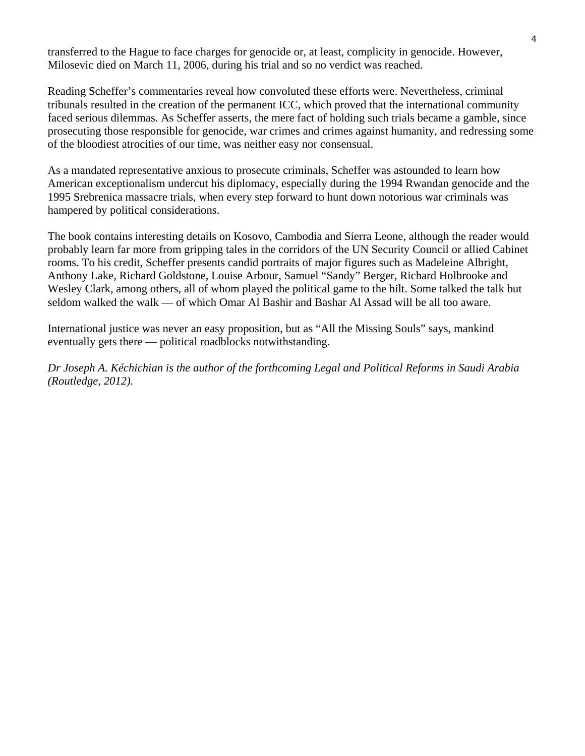transferred to the Hague to face charges for genocide or, at least, complicity in genocide. However, Milosevic died on March 11, 2006, during his trial and so no verdict was reached.

Reading Scheffer's commentaries reveal how convoluted these efforts were. Nevertheless, criminal tribunals resulted in the creation of the permanent ICC, which proved that the international community faced serious dilemmas. As Scheffer asserts, the mere fact of holding such trials became a gamble, since prosecuting those responsible for genocide, war crimes and crimes against humanity, and redressing some of the bloodiest atrocities of our time, was neither easy nor consensual.

As a mandated representative anxious to prosecute criminals, Scheffer was astounded to learn how American exceptionalism undercut his diplomacy, especially during the 1994 Rwandan genocide and the 1995 Srebrenica massacre trials, when every step forward to hunt down notorious war criminals was hampered by political considerations.

The book contains interesting details on Kosovo, Cambodia and Sierra Leone, although the reader would probably learn far more from gripping tales in the corridors of the UN Security Council or allied Cabinet rooms. To his credit, Scheffer presents candid portraits of major figures such as Madeleine Albright, Anthony Lake, Richard Goldstone, Louise Arbour, Samuel "Sandy" Berger, Richard Holbrooke and Wesley Clark, among others, all of whom played the political game to the hilt. Some talked the talk but seldom walked the walk — of which Omar Al Bashir and Bashar Al Assad will be all too aware.

International justice was never an easy proposition, but as "All the Missing Souls" says, mankind eventually gets there — political roadblocks notwithstanding.

*Dr Joseph A. Kéchichian is the author of the forthcoming Legal and Political Reforms in Saudi Arabia (Routledge, 2012).*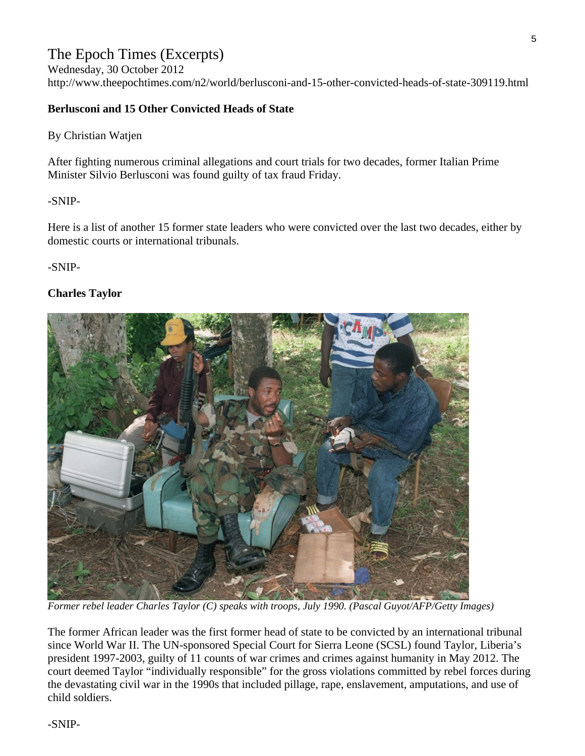### The Epoch Times (Excerpts)

Wednesday, 30 October 2012 http://www.theepochtimes.com/n2/world/berlusconi-and-15-other-convicted-heads-of-state-309119.html

### **Berlusconi and 15 Other Convicted Heads of State**

By Christian Watjen

After fighting numerous criminal allegations and court trials for two decades, former Italian Prime Minister Silvio Berlusconi was found guilty of tax fraud Friday.

-SNIP-

Here is a list of another 15 former state leaders who were convicted over the last two decades, either by domestic courts or international tribunals.

-SNIP-

### **Charles Taylor**



*Former rebel leader Charles Taylor (C) speaks with troops, July 1990. (Pascal Guyot/AFP/Getty Images)* 

The former African leader was the first former head of state to be convicted by an international tribunal since World War II. The UN-sponsored Special Court for Sierra Leone (SCSL) found Taylor, Liberia's president 1997-2003, guilty of 11 counts of war crimes and crimes against humanity in May 2012. The court deemed Taylor "individually responsible" for the gross violations committed by rebel forces during the devastating civil war in the 1990s that included pillage, rape, enslavement, amputations, and use of child soldiers.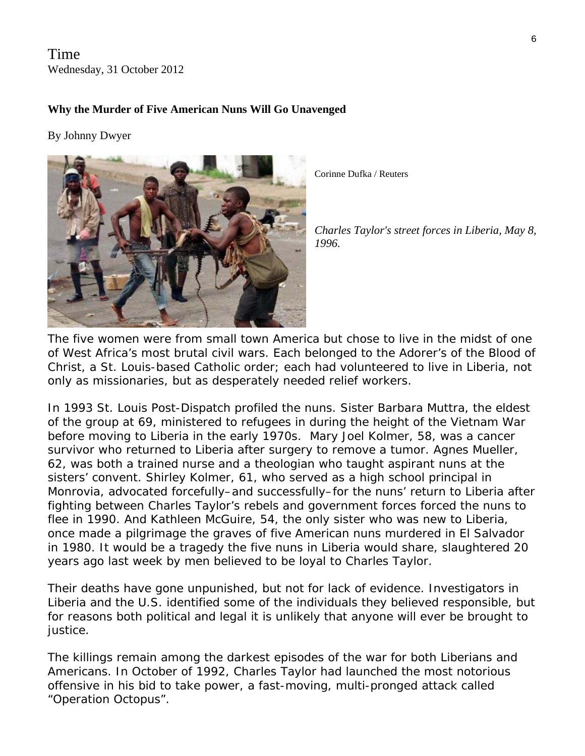Time Wednesday, 31 October 2012

### **Why the Murder of Five American Nuns Will Go Unavenged**

By [Johnny Dwyer](http://world.time.com/contributor/johnny-dwyer/)



Corinne Dufka / Reuters

*Charles Taylor's street forces in Liberia, May 8 , 1996.* 

The five women were from small town America but chose to live in the midst of one of West Africa's most brutal civil wars. Each belonged to the Adorer's of the Blood of Christ, a St. Louis-based Catholic order; each had volunteered to live in Liberia, not only as missionaries, but as desperately needed relief workers.

In 1993 *St. Louis Post-Dispatch* profiled the nuns. Sister Barbara Muttra, the eldest of the group at 69, ministered to refugees in during the height of the Vietnam War before moving to Liberia in the early 1970s. Mary Joel Kolmer, 58, was a cancer survivor who returned to Liberia after surgery to remove a tumor. Agnes Mueller, 62, was both a trained nurse and a theologian who taught aspirant nuns at the sisters' convent. Shirley Kolmer, 61, who served as a high school principal in Monrovia, advocated forcefully–and successfully–for the nuns' return to Liberia after fighting between Charles Taylor's rebels and government forces forced the nuns to flee in 1990. And Kathleen McGuire, 54, the only sister who was new to Liberia, once made a pilgrimage the graves of five American nuns murdered in El Salvador in 1980. It would be a tragedy the five nuns in Liberia would share, slaughtered 20 years ago last week by men believed to be loyal to Charles Taylor.

Their deaths have gone unpunished, but not for lack of evidence. Investigators in Liberia and the U.S. identified some of the individuals they believed responsible, but for reasons both political and legal it is unlikely that anyone will ever be brought to justice.

The killings remain among the darkest episodes of the war for both Liberians and Americans. In October of 1992, Charles Taylor had launched the most notorious offensive in his bid to take power, a fast-moving, multi-pronged attack called "Operation Octopus".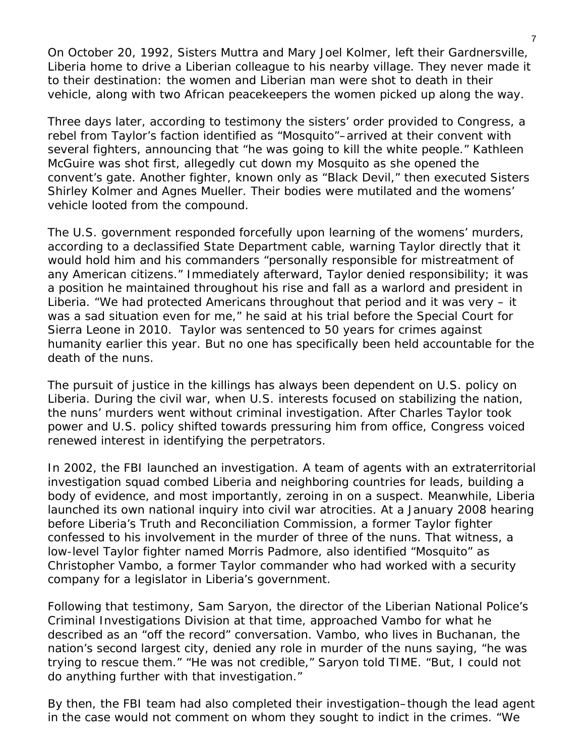On October 20, 1992, Sisters Muttra and Mary Joel Kolmer, left their Gardnersville, Liberia home to drive a Liberian colleague to his nearby village. They never made it to their destination: the women and Liberian man were shot to death in their vehicle, along with two African peacekeepers the women picked up along the way.

Three days later, according to testimony the sisters' order provided to Congress, a rebel from Taylor's faction identified as "Mosquito"–arrived at their convent with several fighters, announcing that "he was going to kill the white people." Kathleen McGuire was shot first, allegedly cut down my Mosquito as she opened the convent's gate. Another fighter, known only as "Black Devil," then executed Sisters Shirley Kolmer and Agnes Mueller. Their bodies were mutilated and the womens' vehicle looted from the compound.

The U.S. government responded forcefully upon learning of the womens' murders, according to a declassified State Department cable, warning Taylor directly that it would hold him and his commanders "personally responsible for mistreatment of any American citizens." Immediately afterward, Taylor denied responsibility; it was a position he maintained throughout his rise and fall as a warlord and president in Liberia. "We had protected Americans throughout that period and it was very – it was a sad situation even for me," he said at his trial before the Special Court for Sierra Leone in 2010. Taylor was sentenced to 50 years for crimes against humanity earlier this year. But no one has specifically been held accountable for the death of the nuns.

The pursuit of justice in the killings has always been dependent on U.S. policy on Liberia. During the civil war, when U.S. interests focused on stabilizing the nation, the nuns' murders went without criminal investigation. After Charles Taylor took power and U.S. policy shifted towards pressuring him from office, Congress voiced renewed interest in identifying the perpetrators.

In 2002, the FBI launched an investigation. A team of agents with an extraterritorial investigation squad combed Liberia and neighboring countries for leads, building a body of evidence, and most importantly, zeroing in on a suspect. Meanwhile, Liberia launched its own national inquiry into civil war atrocities. At a January 2008 hearing before Liberia's Truth and Reconciliation Commission, a former Taylor fighter confessed to his involvement in the murder of three of the nuns. That witness, a low-level Taylor fighter named Morris Padmore, also identified "Mosquito" as Christopher Vambo, a former Taylor commander who had worked with a security company for a legislator in Liberia's government.

Following that testimony, Sam Saryon, the director of the Liberian National Police's Criminal Investigations Division at that time, approached Vambo for what he described as an "off the record" conversation. Vambo, who lives in Buchanan, the nation's second largest city, denied any role in murder of the nuns saying, "he was trying to rescue them." "He was not credible," Saryon told TIME. "But, I could not do anything further with that investigation."

By then, the FBI team had also completed their investigation–though the lead agent in the case would not comment on whom they sought to indict in the crimes. "We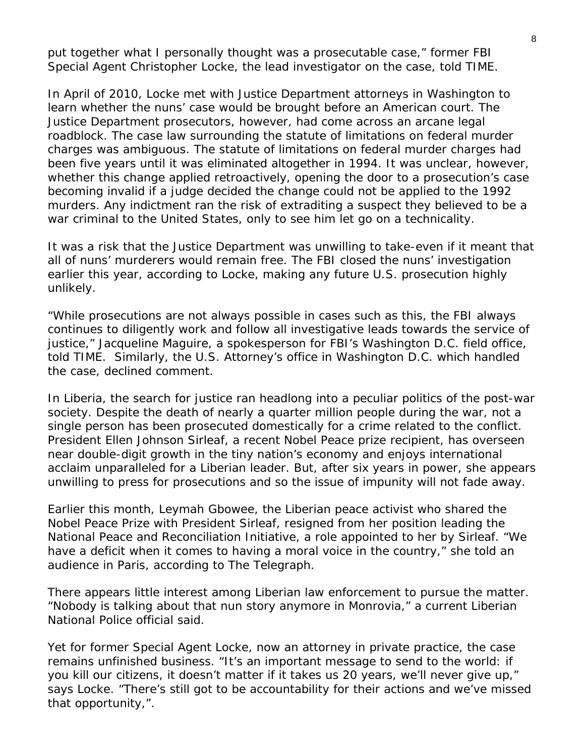put together what I personally thought was a prosecutable case," former FBI Special Agent Christopher Locke, the lead investigator on the case, told TIME.

In April of 2010, Locke met with Justice Department attorneys in Washington to learn whether the nuns' case would be brought before an American court. The Justice Department prosecutors, however, had come across an arcane legal roadblock. The case law surrounding the statute of limitations on federal murder charges was ambiguous. The statute of limitations on federal murder charges had been five years until it was eliminated altogether in 1994. It was unclear, however, whether this change applied retroactively, opening the door to a prosecution's case becoming invalid if a judge decided the change could not be applied to the 1992 murders. Any indictment ran the risk of extraditing a suspect they believed to be a war criminal to the United States, only to see him let go on a technicality.

It was a risk that the Justice Department was unwilling to take-even if it meant that all of nuns' murderers would remain free. The FBI closed the nuns' investigation earlier this year, according to Locke, making any future U.S. prosecution highly unlikely.

"While prosecutions are not always possible in cases such as this, the FBI always continues to diligently work and follow all investigative leads towards the service of justice," Jacqueline Maguire, a spokesperson for FBI's Washington D.C. field office, told TIME. Similarly, the U.S. Attorney's office in Washington D.C. which handled the case, declined comment.

In Liberia, the search for justice ran headlong into a peculiar politics of the post-war society. Despite the death of nearly a quarter million people during the war, not a single person has been prosecuted domestically for a crime related to the conflict. President Ellen Johnson Sirleaf, a recent Nobel Peace prize recipient, has overseen near double-digit growth in the tiny nation's economy and enjoys international acclaim unparalleled for a Liberian leader. But, after six years in power, she appears unwilling to press for prosecutions and so the issue of impunity will not fade away.

Earlier this month, Leymah Gbowee, the Liberian peace activist who shared the Nobel Peace Prize with President Sirleaf, resigned from her position leading the National Peace and Reconciliation Initiative, a role appointed to her by Sirleaf. "We have a deficit when it comes to having a moral voice in the country," she told an audience in Paris, according to *The Telegraph*.

There appears little interest among Liberian law enforcement to pursue the matter. "Nobody is talking about that nun story anymore in Monrovia," a current Liberian National Police official said.

Yet for former Special Agent Locke, now an attorney in private practice, the case remains unfinished business. "It's an important message to send to the world: if you kill our citizens, it doesn't matter if it takes us 20 years, we'll never give up," says Locke. "There's still got to be accountability for their actions and we've missed that opportunity,".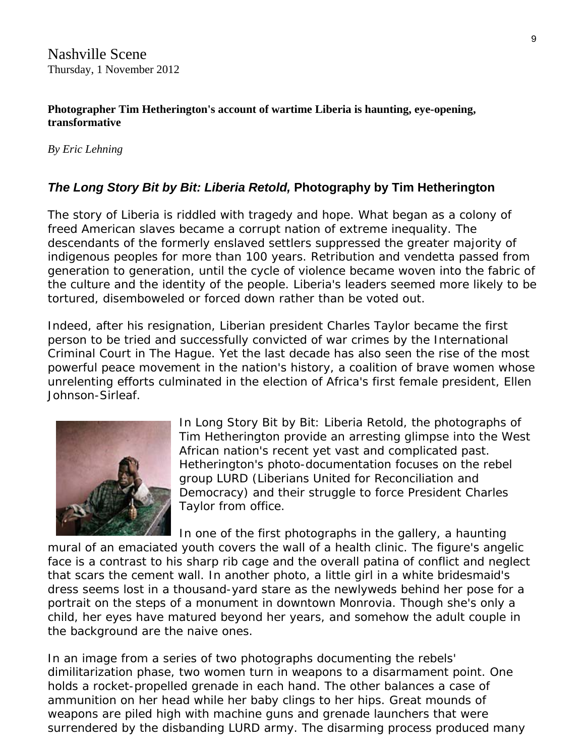**Photographer Tim Hetherington's account of wartime Liberia is haunting, eye-opening, transformative** 

*By [Eric Lehning](http://www.nashvillescene.com/nashville/ArticleArchives?author=1179833)*

### *The Long Story Bit by Bit: Liberia Retold,* **Photography by Tim Hetherington**

The story of Liberia is riddled with tragedy and hope. What began as a colony of freed American slaves became a corrupt nation of extreme inequality. The descendants of the formerly enslaved settlers suppressed the greater majority of indigenous peoples for more than 100 years. Retribution and vendetta passed from generation to generation, until the cycle of violence became woven into the fabric of the culture and the identity of the people. Liberia's leaders seemed more likely to be tortured, disemboweled or forced down rather than be voted out.

Indeed, after his resignation, Liberian president Charles Taylor became the first person to be tried and successfully convicted of war crimes by the International Criminal Court in The Hague. Yet the last decade has also seen the rise of the most powerful peace movement in the nation's history, a coalition of brave women whose unrelenting efforts culminated in the election of Africa's first female president, Ellen Johnson-Sirleaf.



In *Long Story Bit by Bit: Liberia Retold*, the photographs of Tim Hetherington provide an arresting glimpse into the West African nation's recent yet vast and complicated past. Hetherington's photo-documentation focuses on the rebel group LURD (Liberians United for Reconciliation and Democracy) and their struggle to force President Charles Taylor from office.

In one of the first photographs in the gallery, a haunting mural of an emaciated youth covers the wall of a health clinic. The figure's angelic face is a contrast to his sharp rib cage and the overall patina of conflict and neglect that scars the cement wall. In another photo, a little girl in a white bridesmaid's dress seems lost in a thousand-yard stare as the newlyweds behind her pose for a portrait on the steps of a monument in downtown Monrovia. Though she's only a child, her eyes have matured beyond her years, and somehow the adult couple in the background are the naive ones.

In an image from a series of two photographs documenting the rebels' dimilitarization phase, two women turn in weapons to a disarmament point. One holds a rocket-propelled grenade in each hand. The other balances a case of ammunition on her head while her baby clings to her hips. Great mounds of weapons are piled high with machine guns and grenade launchers that were surrendered by the disbanding LURD army. The disarming process produced many